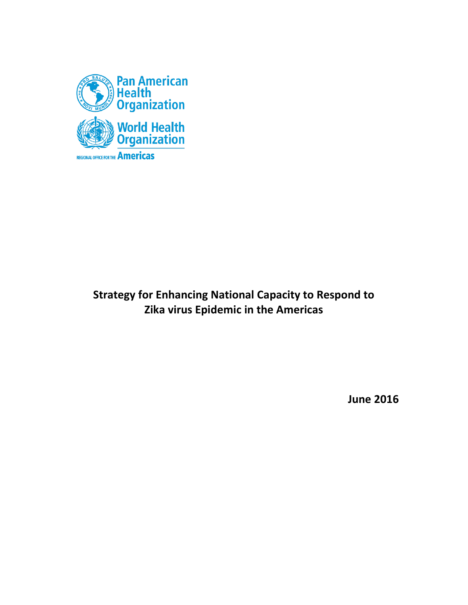

# **Strategy for Enhancing National Capacity to Respond to Zika virus Epidemic in the Americas**

**June 2016**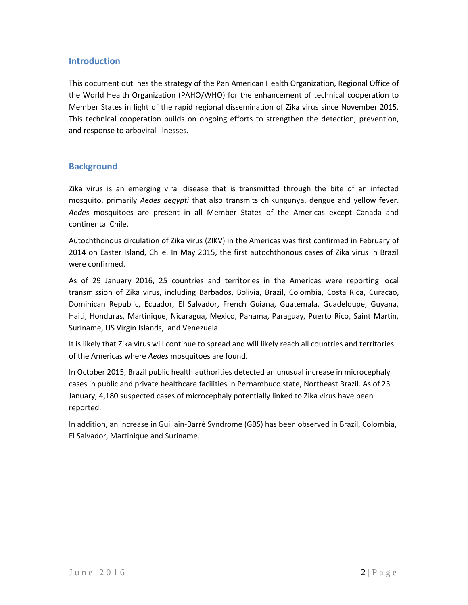### **Introduction**

This document outlines the strategy of the Pan American Health Organization, Regional Office of the World Health Organization (PAHO/WHO) for the enhancement of technical cooperation to Member States in light of the rapid regional dissemination of Zika virus since November 2015. This technical cooperation builds on ongoing efforts to strengthen the detection, prevention, and response to arboviral illnesses.

## **Background**

Zika virus is an emerging viral disease that is transmitted through the bite of an infected mosquito, primarily *Aedes aegypti* that also transmits chikungunya, dengue and yellow fever. *Aedes* mosquitoes are present in all Member States of the Americas except Canada and continental Chile.

Autochthonous circulation of Zika virus (ZIKV) in the Americas was first confirmed in February of 2014 on Easter Island, Chile. In May 2015, the first autochthonous cases of Zika virus in Brazil were confirmed.

As of 29 January 2016, 25 countries and territories in the Americas were reporting local transmission of Zika virus, including Barbados, Bolivia, Brazil, Colombia, Costa Rica, Curacao, Dominican Republic, Ecuador, El Salvador, French Guiana, Guatemala, Guadeloupe, Guyana, Haiti, Honduras, Martinique, Nicaragua, Mexico, Panama, Paraguay, Puerto Rico, Saint Martin, Suriname, US Virgin Islands, and Venezuela.

It is likely that Zika virus will continue to spread and will likely reach all countries and territories of the Americas where *Aedes* mosquitoes are found.

In October 2015, Brazil public health authorities detected an unusual increase in microcephaly cases in public and private healthcare facilities in Pernambuco state, Northeast Brazil. As of 23 January, 4,180 suspected cases of microcephaly potentially linked to Zika virus have been reported.

In addition, an increase in Guillain-Barré Syndrome (GBS) has been observed in Brazil, Colombia, El Salvador, Martinique and Suriname.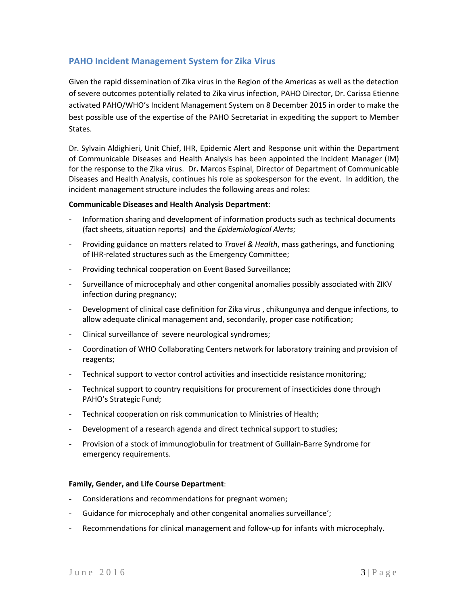## **PAHO Incident Management System for Zika Virus**

Given the rapid dissemination of Zika virus in the Region of the Americas as well as the detection of severe outcomes potentially related to Zika virus infection, PAHO Director, Dr. Carissa Etienne activated PAHO/WHO's Incident Management System on 8 December 2015 in order to make the best possible use of the expertise of the PAHO Secretariat in expediting the support to Member States.

Dr. Sylvain Aldighieri, Unit Chief, IHR, Epidemic Alert and Response unit within the Department of Communicable Diseases and Health Analysis has been appointed the Incident Manager (IM) for the response to the Zika virus. Dr**.** Marcos Espinal, Director of Department of Communicable Diseases and Health Analysis, continues his role as spokesperson for the event. In addition, the incident management structure includes the following areas and roles:

#### **Communicable Diseases and Health Analysis Department**:

- Information sharing and development of information products such as technical documents (fact sheets, situation reports) and the *Epidemiological Alerts*;
- Providing guidance on matters related to *Travel & Health*, mass gatherings, and functioning of IHR-related structures such as the Emergency Committee;
- Providing technical cooperation on Event Based Surveillance;
- Surveillance of microcephaly and other congenital anomalies possibly associated with ZIKV infection during pregnancy;
- Development of clinical case definition for Zika virus, chikungunya and dengue infections, to allow adequate clinical management and, secondarily, proper case notification;
- Clinical surveillance of severe neurological syndromes;
- Coordination of WHO Collaborating Centers network for laboratory training and provision of reagents;
- Technical support to vector control activities and insecticide resistance monitoring;
- Technical support to country requisitions for procurement of insecticides done through PAHO's Strategic Fund;
- Technical cooperation on risk communication to Ministries of Health;
- Development of a research agenda and direct technical support to studies;
- Provision of a stock of immunoglobulin for treatment of Guillain-Barre Syndrome for emergency requirements.

#### **Family, Gender, and Life Course Department**:

- Considerations and recommendations for pregnant women;
- Guidance for microcephaly and other congenital anomalies surveillance';
- Recommendations for clinical management and follow-up for infants with microcephaly.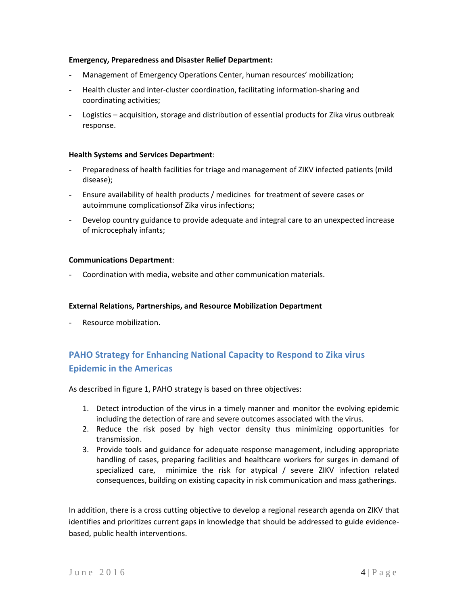#### **Emergency, Preparedness and Disaster Relief Department:**

- Management of Emergency Operations Center, human resources' mobilization;
- Health cluster and inter-cluster coordination, facilitating information-sharing and coordinating activities;
- Logistics acquisition, storage and distribution of essential products for Zika virus outbreak response.

#### **Health Systems and Services Department**:

- Preparedness of health facilities for triage and management of ZIKV infected patients (mild disease);
- Ensure availability of health products / medicines for treatment of severe cases or autoimmune complicationsof Zika virus infections;
- Develop country guidance to provide adequate and integral care to an unexpected increase of microcephaly infants;

#### **Communications Department**:

Coordination with media, website and other communication materials.

#### **External Relations, Partnerships, and Resource Mobilization Department**

Resource mobilization.

## **PAHO Strategy for Enhancing National Capacity to Respond to Zika virus Epidemic in the Americas**

As described in figure 1, PAHO strategy is based on three objectives:

- 1. Detect introduction of the virus in a timely manner and monitor the evolving epidemic including the detection of rare and severe outcomes associated with the virus.
- 2. Reduce the risk posed by high vector density thus minimizing opportunities for transmission.
- 3. Provide tools and guidance for adequate response management, including appropriate handling of cases, preparing facilities and healthcare workers for surges in demand of specialized care, minimize the risk for atypical / severe ZIKV infection related consequences, building on existing capacity in risk communication and mass gatherings.

In addition, there is a cross cutting objective to develop a regional research agenda on ZIKV that identifies and prioritizes current gaps in knowledge that should be addressed to guide evidencebased, public health interventions.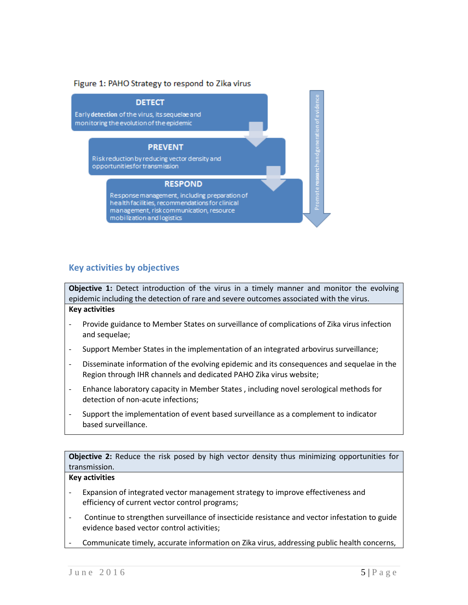#### Figure 1: PAHO Strategy to respond to Zika virus



#### **Key activities by objectives**

**Objective 1:** Detect introduction of the virus in a timely manner and monitor the evolving epidemic including the detection of rare and severe outcomes associated with the virus.

#### **Key activities**

- Provide guidance to Member States on surveillance of complications of Zika virus infection and sequelae;
- Support Member States in the implementation of an integrated arbovirus surveillance;
- Disseminate information of the evolving epidemic and its consequences and sequelae in the Region through IHR channels and dedicated PAHO Zika virus website;
- Enhance laboratory capacity in Member States , including novel serological methods for detection of non-acute infections;
- Support the implementation of event based surveillance as a complement to indicator based surveillance.

**Objective 2:** Reduce the risk posed by high vector density thus minimizing opportunities for transmission.

#### **Key activities**

- Expansion of integrated vector management strategy to improve effectiveness and efficiency of current vector control programs;
- Continue to strengthen surveillance of insecticide resistance and vector infestation to guide evidence based vector control activities;
- Communicate timely, accurate information on Zika virus, addressing public health concerns,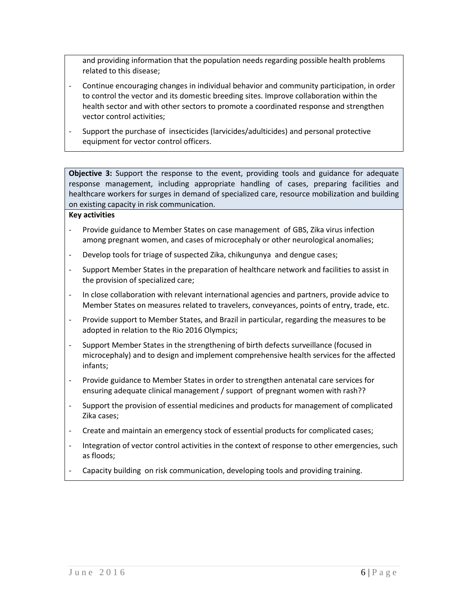and providing information that the population needs regarding possible health problems related to this disease;

- Continue encouraging changes in individual behavior and community participation, in order to control the vector and its domestic breeding sites. Improve collaboration within the health sector and with other sectors to promote a coordinated response and strengthen vector control activities;
- Support the purchase of insecticides (larvicides/adulticides) and personal protective equipment for vector control officers.

**Objective 3:** Support the response to the event, providing tools and guidance for adequate response management, including appropriate handling of cases, preparing facilities and healthcare workers for surges in demand of specialized care, resource mobilization and building on existing capacity in risk communication.

#### **Key activities**

- Provide guidance to Member States on case management of GBS, Zika virus infection among pregnant women, and cases of microcephaly or other neurological anomalies;
- Develop tools for triage of suspected Zika, chikungunya and dengue cases;
- Support Member States in the preparation of healthcare network and facilities to assist in the provision of specialized care;
- In close collaboration with relevant international agencies and partners, provide advice to Member States on measures related to travelers, conveyances, points of entry, trade, etc.
- Provide support to Member States, and Brazil in particular, regarding the measures to be adopted in relation to the Rio 2016 Olympics;
- Support Member States in the strengthening of birth defects surveillance (focused in microcephaly) and to design and implement comprehensive health services for the affected infants;
- Provide guidance to Member States in order to strengthen antenatal care services for ensuring adequate clinical management / support of pregnant women with rash??
- Support the provision of essential medicines and products for management of complicated Zika cases;
- Create and maintain an emergency stock of essential products for complicated cases;
- Integration of vector control activities in the context of response to other emergencies, such as floods;
- Capacity building on risk communication, developing tools and providing training.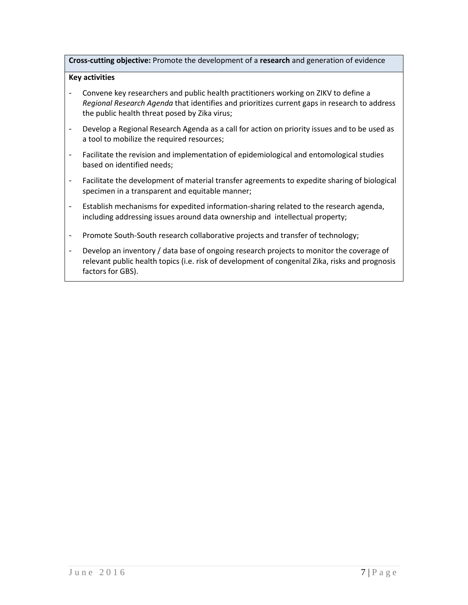**Cross-cutting objective:** Promote the development of a **research** and generation of evidence

#### **Key activities**

- Convene key researchers and public health practitioners working on ZIKV to define a *Regional Research Agenda* that identifies and prioritizes current gaps in research to address the public health threat posed by Zika virus;
- Develop a Regional Research Agenda as a call for action on priority issues and to be used as a tool to mobilize the required resources;
- Facilitate the revision and implementation of epidemiological and entomological studies based on identified needs;
- Facilitate the development of material transfer agreements to expedite sharing of biological specimen in a transparent and equitable manner;
- Establish mechanisms for expedited information-sharing related to the research agenda, including addressing issues around data ownership and intellectual property;
- Promote South-South research collaborative projects and transfer of technology;
- Develop an inventory / data base of ongoing research projects to monitor the coverage of relevant public health topics (i.e. risk of development of congenital Zika, risks and prognosis factors for GBS).